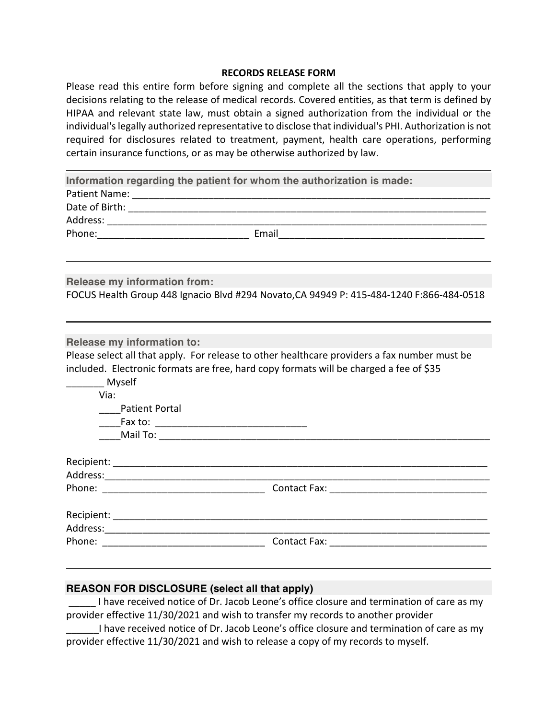## **RECORDS RELEASE FORM**

Please read this entire form before signing and complete all the sections that apply to your decisions relating to the release of medical records. Covered entities, as that term is defined by HIPAA and relevant state law, must obtain a signed authorization from the individual or the individual's legally authorized representative to disclose that individual's PHI. Authorization is not required for disclosures related to treatment, payment, health care operations, performing certain insurance functions, or as may be otherwise authorized by law.

| Information regarding the patient for whom the authorization is made:                                                           |  |
|---------------------------------------------------------------------------------------------------------------------------------|--|
|                                                                                                                                 |  |
|                                                                                                                                 |  |
|                                                                                                                                 |  |
|                                                                                                                                 |  |
|                                                                                                                                 |  |
|                                                                                                                                 |  |
| <b>Release my information from:</b><br>FOCUS Health Group 448 Ignacio Blvd #294 Novato, CA 94949 P: 415-484-1240 F:866-484-0518 |  |
|                                                                                                                                 |  |
|                                                                                                                                 |  |
|                                                                                                                                 |  |
| Release my information to:                                                                                                      |  |
| Please select all that apply. For release to other healthcare providers a fax number must be                                    |  |
| included. Electronic formats are free, hard copy formats will be charged a fee of \$35                                          |  |
| Myself                                                                                                                          |  |
| Via:                                                                                                                            |  |
| <b>Patient Portal</b>                                                                                                           |  |
| _____Fax to: __________________________________                                                                                 |  |
|                                                                                                                                 |  |
|                                                                                                                                 |  |
|                                                                                                                                 |  |
|                                                                                                                                 |  |
|                                                                                                                                 |  |
|                                                                                                                                 |  |
|                                                                                                                                 |  |
|                                                                                                                                 |  |
|                                                                                                                                 |  |

## **REASON FOR DISCLOSURE (select all that apply)**

I have received notice of Dr. Jacob Leone's office closure and termination of care as my provider effective 11/30/2021 and wish to transfer my records to another provider

I have received notice of Dr. Jacob Leone's office closure and termination of care as my provider effective 11/30/2021 and wish to release a copy of my records to myself.